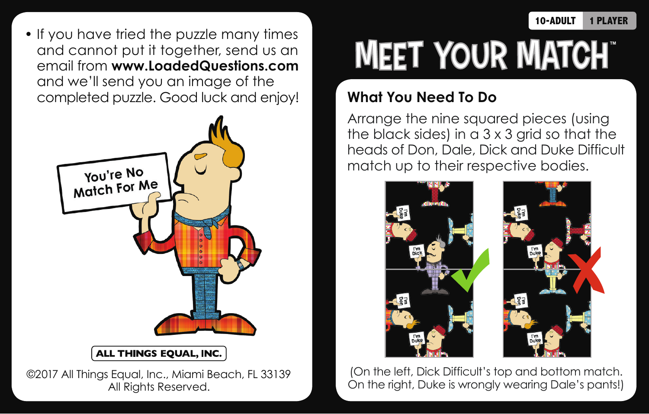• If you have tried the puzzle many times and cannot put it together, send us an email from **www.LoadedQuestions.com** and we'll send you an image of the completed puzzle. Good luck and enjoy!



## ALL THINGS EQUAL, INC.

©2017 All Things Equal, Inc., Miami Beach, FL 33139 All Rights Reserved.

## **MEET YOUR MATCHT**

## **What You Need To Do**

Arrange the nine squared pieces (using the black sides) in a  $3 \times 3$  grid so that the heads of Don, Dale, Dick and Duke Difficult match up to their respective bodies.



(On the left, Dick Difficult's top and bottom match. On the right, Duke is wrongly wearing Dale's pants!)